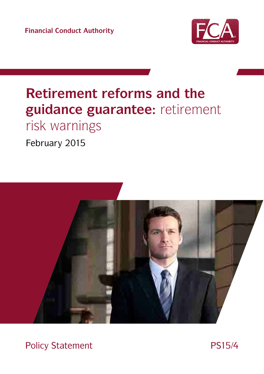**Financial Conduct Authority**



# **Retirement reforms and the guidance guarantee:** retirement risk warnings

February 2015



Policy Statement PS15/4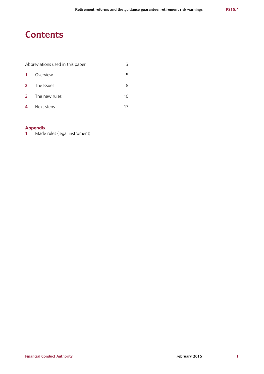# **Contents**

| Abbreviations used in this paper |               |    |
|----------------------------------|---------------|----|
| $\mathbf{1}$                     | Overview      |    |
| $\mathbf{2}$                     | The Issues    | 8  |
| 3                                | The new rules | 10 |
| 4                                | Next steps    |    |

# **Appendix**

**1** Made rules (legal instrument)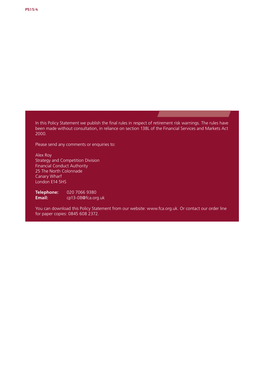In this Policy Statement we publish the final rules in respect of retirement risk warnings. The rules have been made without consultation, in reliance on section 138L of the Financial Services and Markets Act 2000.

Please send any comments or enquiries to:

Alex Roy Strategy and Competition Division Financial Conduct Authority 25 The North Colonnade Canary Wharf London E14 5HS

**Telephone: Email:** 020 7066 9380 cp13-08@fca.org.uk

You can download this Policy Statement from our website: www.fca.org.uk. Or contact our order line for paper copies: 0845 608 2372.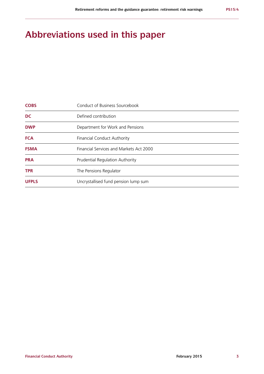# **Abbreviations used in this paper**

| <b>UFPLS</b> | Uncrystallised fund pension lump sum    |
|--------------|-----------------------------------------|
| <b>TPR</b>   | The Pensions Regulator                  |
| <b>PRA</b>   | Prudential Regulation Authority         |
| <b>FSMA</b>  | Financial Services and Markets Act 2000 |
| <b>FCA</b>   | <b>Financial Conduct Authority</b>      |
| <b>DWP</b>   | Department for Work and Pensions        |
| <b>DC</b>    | Defined contribution                    |
| <b>COBS</b>  | Conduct of Business Sourcebook          |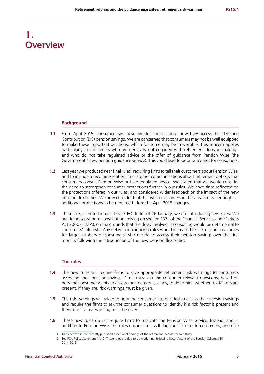# **1. Overview**

#### **Background**

- **1.1** From April 2015, consumers will have greater choice about how they access their Defined Contribution (DC) pension savings. We are concerned that consumers may not be well equipped to make these important decisions, which for some may be irreversible. This concern applies particularly to consumers who are generally not engaged with retirement decision making<sup>1</sup>, and who do not take regulated advice or the offer of guidance from Pension Wise (the Government's new pension guidance service). This could lead to poor outcomes for consumers.
- **1.2** Last year we produced near final rules<sup>2</sup> requiring firms to tell their customers about Pension Wise, and to include a recommendation, in customer communications about retirement options that consumers consult Pension Wise or take regulated advice. We stated that we would consider the need to strengthen consumer protections further in our rules. We have since reflected on the protections offered in our rules, and considered wider feedback on the impact of the new pension flexibilities. We now consider that the risk to consumers in this area is great enough for additional protections to be required before the April 2015 changes.
- **1.3** Therefore, as noted in our 'Dear CEO' letter of 26 January, we are introducing new rules. We are doing so without consultation, relying on section 137L of the Financial Services and Markets Act 2000 (FSMA), on the grounds that the delay involved in consulting would be detrimental to consumers' interests. Any delay in introducing rules would increase the risk of poor outcomes for large numbers of consumers who decide to access their pension savings over the first months following the introduction of the new pension flexibilities.

#### **The rules**

- **1.4** The new rules will require firms to give appropriate retirement risk warnings to consumers accessing their pension savings. Firms must ask the consumer relevant questions, based on how the consumer wants to access their pension savings, to determine whether risk factors are present. If they are, risk warnings must be given.
- **1.5** The risk warnings will relate to how the consumer has decided to access their pension savings and require the firms to ask the consumer questions to identify if a risk factor is present and therefore if a risk warning must be given.
- **1.6** These new rules do not require firms to replicate the Pension Wise service. Instead, and in addition to Pension Wise, the rules ensure firms will flag specific risks to consumers, and give

<sup>1</sup> As evidenced in the recently published [provisional findings](http://www.fca.org.uk/static/documents/market-studies/ms14-03-2.pdf) of the retirement income market study

<sup>2</sup> See [FCA Policy Statement 14/17.](http://www.fca.org.uk/static/documents/policy-statements/ps14-17.pdf) These rules are due to be made final following Royal Assent of the Pension Schemes Bill 2014-2015.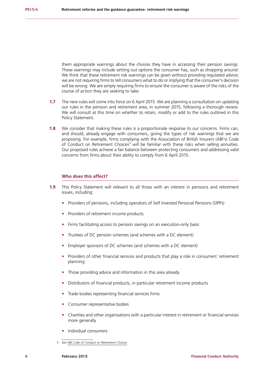them appropriate warnings about the choices they have in accessing their pension savings. These warnings may include setting out options the consumer has, such as shopping around. We think that these retirement risk warnings can be given without providing regulated advice; we are not requiring firms to tell consumers what to do or implying that the consumer's decision will be wrong. We are simply requiring firms to ensure the consumer is aware of the risks of the course of action they are seeking to take.

- **1.7** The new rules will come into force on 6 April 2015. We are planning a consultation on updating our rules in the pension and retirement area, in summer 2015, following a thorough review. We will consult at this time on whether to retain, modify or add to the rules outlined in this Policy Statement.
- **1.8** We consider that making these rules is a proportionate response to our concerns. Firms can, and should, already engage with consumers, giving the types of risk warnings that we are proposing. For example, firms complying with the Association of British Insurers (ABI's) Code of Conduct on Retirement Choices<sup>3</sup> will be familiar with these risks when selling annuities. Our proposed rules achieve a fair balance between protecting consumers and addressing valid concerns from firms about their ability to comply from 6 April 2015.

#### **Who does this affect?**

- **1.9** This Policy Statement will relevant to all those with an interest in pensions and retirement issues, including:
	- **•** Providers of pensions, including operators of Self Invested Personal Pensions (SIPPs)
	- **•** Providers of retirement income products
	- **•** Firms facilitating access to pension savings on an execution-only basis
	- **•** Trustees of DC pension schemes (and schemes with a DC element)
	- **•** Employer sponsors of DC schemes (and schemes with a DC element)
	- **•** Providers of other financial services and products that play a role in consumers' retirement planning
	- **•** Those providing advice and information in this area already
	- **•** Distributors of financial products, in particular retirement income products
	- **•** Trade bodies representing financial services firms
	- **•** Consumer representative bodies
	- **•** Charities and other organisations with a particular interest in retirement or financial services more generally
	- **•** Individual consumers

<sup>3</sup> See [ABI Code of Conduct on Retirement Choices](https://www.abi.org.uk/Insurance-and-savings/Topics-and-issues/~/media/6F427488B6BA47DE82BF17C7481DCBDA.ashx)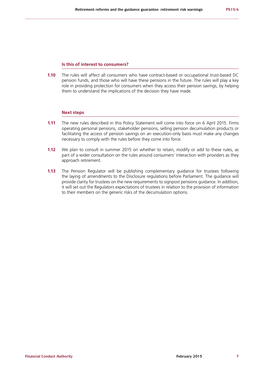#### **Is this of interest to consumers?**

**1.10** The rules will affect all consumers who have contract-based or occupational trust-based DC pension funds, and those who will have these pensions in the future. The rules will play a key role in providing protection for consumers when they access their pension savings, by helping them to understand the implications of the decision they have made.

#### **Next steps**

- **1.11** The new rules described in this Policy Statement will come into force on 6 April 2015. Firms operating personal pensions, stakeholder pensions, selling pension decumulation products or facilitating the access of pension savings on an execution-only basis must make any changes necessary to comply with the rules before they come into force.
- **1.12** We plan to consult in summer 2015 on whether to retain, modify or add to these rules, as part of a wider consultation on the rules around consumers' interaction with providers as they approach retirement.
- **1.13** The Pension Regulator will be publishing complementary guidance for trustees following the laying of amendments to the Disclosure regulations before Parliament. The guidance will provide clarity for trustees on the new requirements to signpost pensions guidance. In addition, it will set out the Regulators expectations of trustees in relation to the provision of information to their members on the generic risks of the decumulation options.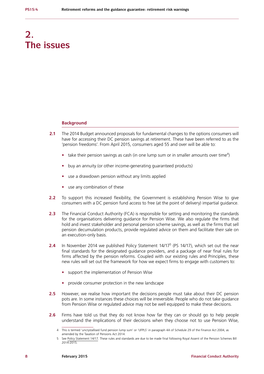# **2. The issues**

#### **Background**

- **2.1** The 2014 Budget announced proposals for fundamental changes to the options consumers will have for accessing their DC pension savings at retirement. These have been referred to as the 'pension freedoms'. From April 2015, consumers aged 55 and over will be able to:
	- take their pension savings as cash (in one lump sum or in smaller amounts over time<sup>4</sup>)
	- **•** buy an annuity (or other income-generating guaranteed products)
	- **•** use a drawdown pension without any limits applied
	- **•** use any combination of these
- **2.2** To support this increased flexibility, the Government is establishing Pension Wise to give consumers with a DC pension fund access to free (at the point of delivery) impartial guidance.
- **2.3** The Financial Conduct Authority (FCA) is responsible for setting and monitoring the standards for the organisations delivering guidance for Pension Wise. We also regulate the firms that hold and invest stakeholder and personal pension scheme savings, as well as the firms that sell pension decumulation products, provide regulated advice on them and facilitate their sale on an execution-only basis.
- **2.4** In November 2014 we published Policy Statement 14/17<sup>5</sup> (PS 14/17), which set out the near final standards for the designated guidance providers, and a package of near final rules for firms affected by the pension reforms. Coupled with our existing rules and Principles, these new rules will set out the framework for how we expect firms to engage with customers to:
	- **•** support the implementation of Pension Wise
	- **•** provide consumer protection in the new landscape
- **2.5** However, we realise how important the decisions people must take about their DC pension pots are. In some instances these choices will be irreversible. People who do not take guidance from Pension Wise or regulated advice may not be well equipped to make these decisions.
- **2.6** Firms have told us that they do not know how far they can or should go to help people understand the implications of their decisions when they choose not to use Pension Wise,

<sup>4</sup> This is termed 'uncrystallised fund pension lump sum' or 'UFPLS' in paragraph 4A of Schedule 29 of the Finance Act 2004, as amended by the Taxation of Pensions Act 2014.

<sup>5</sup> See [Policy Statement 14/17](http://www.fca.org.uk/static/documents/policy-statements/ps14-17.pdf). These rules and standards are due to be made final following Royal Assent of the Pension Schemes Bill 2014-2015.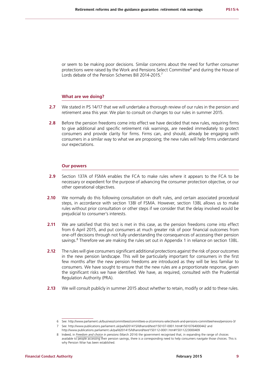or seem to be making poor decisions. Similar concerns about the need for further consumer protections were raised by the Work and Pensions Select Committee<sup>6</sup> and during the House of Lords debate of the Pension Schemes Bill 2014-2015.<sup>7</sup>

#### **What are we doing?**

- **2.7** We stated in PS 14/17 that we will undertake a thorough review of our rules in the pension and retirement area this year. We plan to consult on changes to our rules in summer 2015.
- **2.8** Before the pension freedoms come into effect we have decided that new rules, requiring firms to give additional and specific retirement risk warnings, are needed immediately to protect consumers and provide clarity for firms. Firms can, and should, already be engaging with consumers in a similar way to what we are proposing; the new rules will help firms understand our expectations.

#### **Our powers**

- **2.9** Section 137A of FSMA enables the FCA to make rules where it appears to the FCA to be necessary or expedient for the purpose of advancing the consumer protection objective, or our other operational objectives.
- **2.10** We normally do this following consultation on draft rules, and certain associated procedural steps, in accordance with section 138I of FSMA. However, section 138L allows us to make rules without prior consultation or other steps if we consider that the delay involved would be prejudicial to consumer's interests.
- **2.11** We are satisfied that this test is met in this case, as the pension freedoms come into effect from 6 April 2015, and put consumers at much greater risk of poor financial outcomes from one-off decisions through not fully understanding the consequences of accessing their pension savings.<sup>8</sup> Therefore we are making the rules set out in Appendix 1 in reliance on section 138L.
- **2.12** The rules will give consumers significant additional protections against the risk of poor outcomes in the new pension landscape. This will be particularly important for consumers in the first few months after the new pension freedoms are introduced as they will be less familiar to consumers. We have sought to ensure that the new rules are a proportionate response, given the significant risks we have identified. We have, as required, consulted with the Prudential Regulation Authority (PRA).
- **2.13** We will consult publicly in summer 2015 about whether to retain, modify or add to these rules.

<sup>6</sup> See: [http://www.parliament.uk/business/committees/committees-a-z/commons-select/work-and-pensions-committee/news/pensions-3/](A.IS)

<sup>7</sup> See: <http://www.publications.parliament.uk/pa/ld201415/ldhansrd/text/150107-0001.htm#15010764000442> and <http://www.publications.parliament.uk/pa/ld201415/ldhansrd/text/150112-0001.htm#15011223000409>

<sup>8</sup> Indeed, in *[Freedom and choice](https://www.gov.uk/government/uploads/system/uploads/attachment_data/file/294795/freedom_and_choice_in_pensions_web_210314.pdf) in pensions* (March 2014) the government recognised that, in expanding the range of choices available to people accessing their pension savings, there is a corresponding need to help consumers navigate those choices. This is why Pension Wise has been established.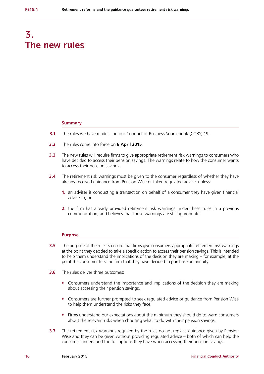# **3. The new rules**

#### **Summary**

- **3.1** The rules we have made sit in our Conduct of Business Sourcebook (COBS) 19.
- **3.2** The rules come into force on **6 April 2015**.
- **3.3** The new rules will require firms to give appropriate retirement risk warnings to consumers who have decided to access their pension savings. The warnings relate to how the consumer wants to access their pension savings.
- **3.4** The retirement risk warnings must be given to the consumer regardless of whether they have already received guidance from Pension Wise or taken regulated advice, unless:
	- **1.** an adviser is conducting a transaction on behalf of a consumer they have given financial advice to, or
	- **2.** the firm has already provided retirement risk warnings under these rules in a previous communication, and believes that those warnings are still appropriate.

#### **Purpose**

- **3.5** The purpose of the rules is ensure that firms give consumers appropriate retirement risk warnings at the point they decided to take a specific action to access their pension savings. This is intended to help them understand the implications of the decision they are making – for example, at the point the consumer tells the firm that they have decided to purchase an annuity.
- **3.6** The rules deliver three outcomes:
	- **•** Consumers understand the importance and implications of the decision they are making about accessing their pension savings.
	- **•** Consumers are further prompted to seek regulated advice or guidance from Pension Wise to help them understand the risks they face.
	- **•** Firms understand our expectations about the minimum they should do to warn consumers about the relevant risks when choosing what to do with their pension savings.
- **3.7** The retirement risk warnings required by the rules do not replace guidance given by Pension Wise and they can be given without providing regulated advice – both of which can help the consumer understand the full options they have when accessing their pension savings.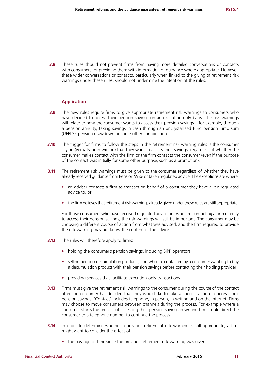**3.8** These rules should not prevent firms from having more detailed conversations or contacts with consumers, or providing them with information or guidance where appropriate. However, these wider conversations or contacts, particularly when linked to the giving of retirement risk warnings under these rules, should not undermine the intention of the rules.

#### **Application**

- **3.9** The new rules require firms to give appropriate retirement risk warnings to consumers who have decided to access their pension savings on an execution-only basis. The risk warnings will relate to how the consumer wants to access their pension savings – for example, through a pension annuity, taking savings in cash through an uncrystallised fund pension lump sum (UFPLS), pension drawdown or some other combination.
- **3.10** The trigger for firms to follow the steps in the retirement risk warning rules is the consumer saying (verbally or in writing) that they want to access their savings, regardless of whether the consumer makes contact with the firm or the firm contacts the consumer (even if the purpose of the contact was initially for some other purpose, such as a promotion).
- **3.11** The retirement risk warnings must be given to the consumer regardless of whether they have already received guidance from Pension Wise or taken regulated advice. The exceptions are where:
	- **•** an adviser contacts a firm to transact on behalf of a consumer they have given regulated advice to, or
	- the firm believes that retirement risk warnings already given under these rules are still appropriate.

For those consumers who have received regulated advice but who are contacting a firm directly to access their pension savings, the risk warnings will still be important. The consumer may be choosing a different course of action from what was advised, and the firm required to provide the risk warning may not know the content of the advice.

- **3.12** The rules will therefore apply to firms:
	- **•** holding the consumer's pension savings, including SIPP operators
	- selling pension decumulation products, and who are contacted by a consumer wanting to buy a decumulation product with their pension savings before contacting their holding provider
	- **•** providing services that facilitate execution-only transactions.
- **3.13** Firms must give the retirement risk warnings to the consumer during the course of the contact after the consumer has decided that they would like to take a specific action to access their pension savings. 'Contact' includes telephone, in person, in writing and on the internet. Firms may choose to move consumers between channels during the process. For example where a consumer starts the process of accessing their pension savings in writing firms could direct the consumer to a telephone number to continue the process.
- **3.14** In order to determine whether a previous retirement risk warning is still appropriate, a firm might want to consider the effect of:
	- **•** the passage of time since the previous retirement risk warning was given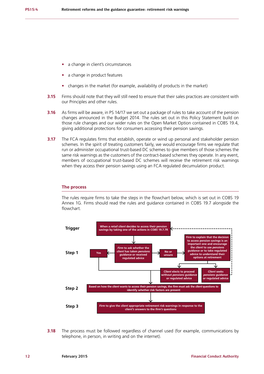- **•** a change in client's circumstances
- **•** a change in product features
- **•** changes in the market (for example, availability of products in the market)
- **3.15** Firms should note that they will still need to ensure that their sales practices are consistent with our Principles and other rules.
- **3.16** As firms will be aware, in PS 14/17 we set out a package of rules to take account of the pension changes announced in the Budget 2014. The rules set out in this Policy Statement build on those rule changes and our wider rules on the Open Market Option contained in COBS 19.4, giving additional protections for consumers accessing their pension savings.
- **3.17** The FCA regulates firms that establish, operate or wind up personal and stakeholder pension schemes. In the spirit of treating customers fairly, we would encourage firms we regulate that run or administer occupational trust-based DC schemes to give members of those schemes the same risk warnings as the customers of the contract-based schemes they operate. In any event, members of occupational trust-based DC schemes will receive the retirement risk warnings when they access their pension savings using an FCA regulated decumulation product.

#### **The process**

The rules require firms to take the steps in the flowchart below, which is set out in COBS 19 Annex 1G. Firms should read the rules and guidance contained in COBS 19.7 alongside the flowchart.



**3.18** The process must be followed regardless of channel used (for example, communications by telephone, in person, in writing and on the internet).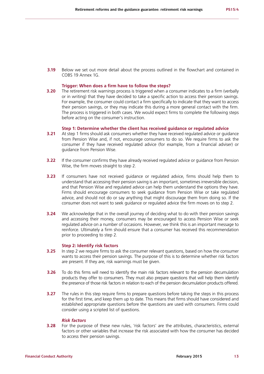**3.19** Below we set out more detail about the process outlined in the flowchart and contained in COBS 19 Annex 1G.

#### **Trigger: When does a firm have to follow the steps?**

**3.20** The retirement risk warnings process is triggered when a consumer indicates to a firm (verbally or in writing) that they have decided to take a specific action to access their pension savings. For example, the consumer could contact a firm specifically to indicate that they want to access their pension savings, or they may indicate this during a more general contact with the firm. The process is triggered in both cases. We would expect firms to complete the following steps before acting on the consumer's instruction.

#### **Step 1: Determine whether the client has received guidance or regulated advice**

- **3.21** At step 1 firms should ask consumers whether they have received regulated advice or guidance from Pension Wise and, if not, encourage consumers to do so. We require firms to ask the consumer if they have received regulated advice (for example, from a financial adviser) or guidance from Pension Wise.
- **3.22** If the consumer confirms they have already received regulated advice or guidance from Pension Wise, the firm moves straight to step 2.
- **3.23** If consumers have not received guidance or regulated advice, firms should help them to understand that accessing their pension saving is an important, sometimes irreversible decision, and that Pension Wise and regulated advice can help them understand the options they have. Firms should encourage consumers to seek guidance from Pension Wise or take regulated advice, and should not do or say anything that might discourage them from doing so. If the consumer does not want to seek guidance or regulated advice the firm moves on to step 2.
- **3.24** We acknowledge that in the overall journey of deciding what to do with their pension savings and accessing their money, consumers may be encouraged to access Pension Wise or seek regulated advice on a number of occasions. However, we think this is an important message to reinforce. Ultimately a firm should ensure that a consumer has received this recommendation prior to proceeding to step 2.

#### **Step 2: Identify risk factors**

- **3.25** In step 2 we require firms to ask the consumer relevant questions, based on how the consumer wants to access their pension savings. The purpose of this is to determine whether risk factors are present. If they are, risk warnings must be given.
- **3.26** To do this firms will need to identify the main risk factors relevant to the pension decumulation products they offer to consumers. They must also prepare questions that will help them identify the presence of those risk factors in relation to each of the pension decumulation products offered.
- **3.27** The rules in this step require firms to prepare questions before taking the steps in this process for the first time, and keep them up to date. This means that firms should have considered and established appropriate questions before the questions are used with consumers. Firms could consider using a scripted list of questions.

#### *Risk factors*

**3.28** For the purpose of these new rules, 'risk factors' are the attributes, characteristics, external factors or other variables that increase the risk associated with how the consumer has decided to access their pension savings.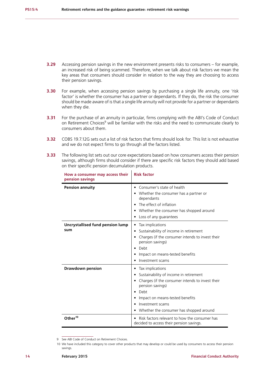- **3.29** Accessing pension savings in the new environment presents risks to consumers for example, an increased risk of being scammed. Therefore, when we talk about risk factors we mean the key areas that consumers should consider in relation to the way they are choosing to access their pension savings.
- **3.30** For example, when accessing pension savings by purchasing a single life annuity, one 'risk factor' is whether the consumer has a partner or dependants. If they do, the risk the consumer should be made aware of is that a single life annuity will not provide for a partner or dependants when they die.
- **3.31** For the purchase of an annuity in particular, firms complying with the ABI's Code of Conduct on Retirement Choices<sup>9</sup> will be familiar with the risks and the need to communicate clearly to consumers about them.
- **3.32** COBS 19.7.12G sets out a list of risk factors that firms should look for. This list is not exhaustive and we do not expect firms to go through all the factors listed.
- **3.33** The following list sets out our core expectations based on how consumers access their pension savings, although firms should consider if there are specific risk factors they should add based on their specific pension decumulation products.

 $\overline{1}$ 

| How a consumer may access their<br>pension savings | <b>Risk factor</b>                                                                                                                                                                                                                                |  |
|----------------------------------------------------|---------------------------------------------------------------------------------------------------------------------------------------------------------------------------------------------------------------------------------------------------|--|
| <b>Pension annuity</b>                             | Consumer's state of health<br>Whether the consumer has a partner or<br>dependants<br>The effect of inflation<br>• Whether the consumer has shopped around<br>Loss of any guarantees                                                               |  |
| Uncrystallised fund pension lump<br>sum            | Tax implications<br>$\bullet$<br>Sustainability of income in retirement<br>٠<br>Charges (if the consumer intends to invest their<br>pension savings)<br>Debt<br>Impact on means-tested benefits<br>Investment scams                               |  |
| <b>Drawdown pension</b>                            | Tax implications<br>٠<br>Sustainability of income in retirement<br>Charges (if the consumer intends to invest their<br>pension savings)<br>Debt<br>Impact on means-tested benefits<br>Investment scams<br>Whether the consumer has shopped around |  |
| Other <sup>10</sup>                                | Risk factors relevant to how the consumer has<br>decided to access their pension savings.                                                                                                                                                         |  |

<sup>9</sup> See ABI Code of Conduct on Retirement Choices.

<sup>10</sup> We have included this category to cover other products that may develop or could be used by consumers to access their pension savings.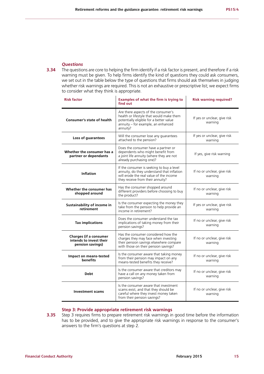### *Questions*

**3.34** The questions are core to helping the firm identify if a risk factor is present, and therefore if a risk warning must be given. To help firms identify the kind of questions they could ask consumers, we set out in the table below the type of questions that firms should ask themselves in judging whether risk warnings are required. This is not an exhaustive or prescriptive list; we expect firms to consider what they think is appropriate.

| <b>Risk factor</b>                                                           | Examples of what the firm is trying to<br>find out                                                                                                                           | <b>Risk warning required?</b>           |
|------------------------------------------------------------------------------|------------------------------------------------------------------------------------------------------------------------------------------------------------------------------|-----------------------------------------|
| Consumer's state of health                                                   | Are there aspects of the consumer's<br>health or lifestyle that would make them<br>potentially eligible for a better value<br>annuity - for example, an enhanced<br>annuity? | If yes or unclear, give risk<br>warning |
| Loss of guarantees                                                           | Will the consumer lose any guarantees<br>attached to the pension?                                                                                                            | If yes or unclear, give risk<br>warning |
| Whether the consumer has a<br>partner or dependants                          | Does the consumer have a partner or<br>dependents who might benefit from<br>a joint life annuity (where they are not<br>already purchasing one)?                             | If yes, give risk warning               |
| <b>Inflation</b>                                                             | If the consumer is seeking to buy a level<br>annuity, do they understand that inflation<br>will erode the real value of the income<br>they receive from their annuity?       | If no or unclear, give risk<br>warning  |
| Whether the consumer has<br>shopped around                                   | Has the consumer shopped around<br>different providers before choosing to buy<br>the product?                                                                                | If no or unclear, give risk<br>warning  |
| Sustainability of income in<br>retirement                                    | Is the consumer expecting the money they<br>take from the pension to help provide an<br>income in retirement?                                                                | If yes or unclear, give risk<br>warning |
| <b>Tax implications</b>                                                      | Does the consumer understand the tax<br>implications of taking money from their<br>pension savings?                                                                          | If no or unclear, give risk<br>warning  |
| <b>Charges (if a consumer</b><br>intends to invest their<br>pension savings) | Has the consumer considered how the<br>charges they may face when investing<br>their pension savings elsewhere compare<br>with those on their pension savings?               | If no or unclear, give risk<br>warning  |
| Impact on means-tested<br><b>benefits</b>                                    | Is the consumer aware that taking money<br>from their pension may impact on any<br>means-tested benefits they receive?                                                       | If no or unclear, give risk<br>warning  |
| <b>Debt</b>                                                                  | Is the consumer aware that creditors may<br>have a call on any money taken from<br>pension savings?                                                                          | If no or unclear, give risk<br>warning  |
| <b>Investment scams</b>                                                      | Is the consumer aware that investment<br>scams exist, and that they should be<br>careful where they invest money taken<br>from their pension savings?                        | If no or unclear, give risk<br>warning  |

#### **Step 3: Provide appropriate retirement risk warnings**

**3.35** Step 3 requires firms to prepare retirement risk warnings in good time before the information has to be provided, and to give the appropriate risk warnings in response to the consumer's answers to the firm's questions at step 2.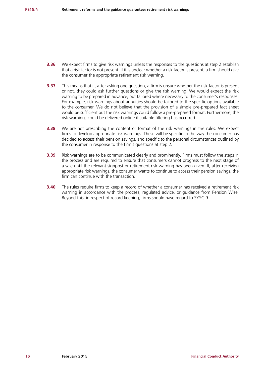- **3.36** We expect firms to give risk warnings unless the responses to the questions at step 2 establish that a risk factor is not present. If it is unclear whether a risk factor is present, a firm should give the consumer the appropriate retirement risk warning.
- **3.37** This means that if, after asking one question, a firm is unsure whether the risk factor is present or not, they could ask further questions or give the risk warning. We would expect the risk warning to be prepared in advance, but tailored where necessary to the consumer's responses. For example, risk warnings about annuities should be tailored to the specific options available to the consumer. We do not believe that the provision of a simple pre-prepared fact sheet would be sufficient but the risk warnings could follow a pre-prepared format. Furthermore, the risk warnings could be delivered online if suitable filtering has occurred.
- **3.38** We are not prescribing the content or format of the risk warnings in the rules. We expect firms to develop appropriate risk warnings. These will be specific to the way the consumer has decided to access their pension savings, and specific to the personal circumstances outlined by the consumer in response to the firm's questions at step 2.
- **3.39** Risk warnings are to be communicated clearly and prominently. Firms must follow the steps in the process and are required to ensure that consumers cannot progress to the next stage of a sale until the relevant signpost or retirement risk warning has been given. If, after receiving appropriate risk warnings, the consumer wants to continue to access their pension savings, the firm can continue with the transaction.
- **3.40** The rules require firms to keep a record of whether a consumer has received a retirement risk warning in accordance with the process, regulated advice, or guidance from Pension Wise. Beyond this, in respect of record keeping, firms should have regard to SYSC 9.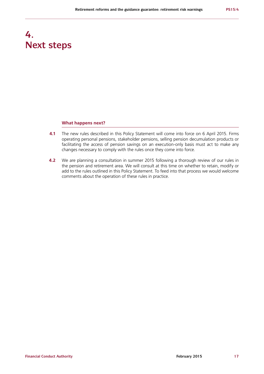# **4. Next steps**

#### **What happens next?**

- **4.1** The new rules described in this Policy Statement will come into force on 6 April 2015. Firms operating personal pensions, stakeholder pensions, selling pension decumulation products or facilitating the access of pension savings on an execution-only basis must act to make any changes necessary to comply with the rules once they come into force.
- **4.2** We are planning a consultation in summer 2015 following a thorough review of our rules in the pension and retirement area. We will consult at this time on whether to retain, modify or add to the rules outlined in this Policy Statement. To feed into that process we would welcome comments about the operation of these rules in practice.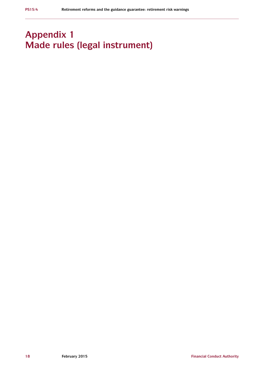# **Appendix 1 Made rules (legal instrument)**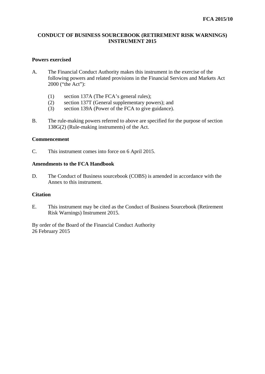# **CONDUCT OF BUSINESS SOURCEBOOK (RETIREMENT RISK WARNINGS) INSTRUMENT 2015**

# **Powers exercised**

- A. The Financial Conduct Authority makes this instrument in the exercise of the following powers and related provisions in the Financial Services and Markets Act 2000 ("the Act"):
	- (1) section 137A (The FCA's general rules);
	- (2) section 137T (General supplementary powers); and
	- (3) section 139A (Power of the FCA to give guidance).
- B. The rule-making powers referred to above are specified for the purpose of section 138G(2) (Rule-making instruments) of the Act.

# **Commencement**

C. This instrument comes into force on 6 April 2015.

# **Amendments to the FCA Handbook**

D. The Conduct of Business sourcebook (COBS) is amended in accordance with the Annex to this instrument.

# **Citation**

E. This instrument may be cited as the Conduct of Business Sourcebook (Retirement Risk Warnings) Instrument 2015.

By order of the Board of the Financial Conduct Authority 26 February 2015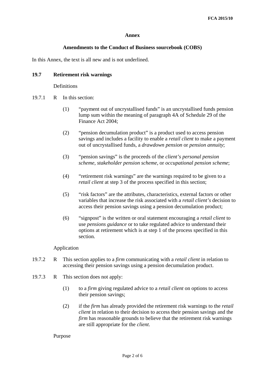### **Annex**

### **Amendments to the Conduct of Business sourcebook (COBS)**

In this Annex, the text is all new and is not underlined.

# **19.7 Retirement risk warnings**

### **Definitions**

- 19.7.1 R In this section:
	- (1) "payment out of uncrystallised funds" is an uncrystallised funds pension lump sum within the meaning of paragraph 4A of Schedule 29 of the Finance Act 2004;
	- (2) "pension decumulation product" is a product used to access pension savings and includes a facility to enable a *retail client* to make a payment out of uncrystallised funds, a *drawdown pension* or *pension annuity*;
	- (3) "pension savings" is the proceeds of the *client's personal pension scheme, stakeholder pension scheme*, or *occupational pension scheme*;
	- (4) "retirement risk warnings" are the warnings required to be given to a *retail client* at step 3 of the process specified in this section;
	- (5) "risk factors" are the attributes, characteristics, external factors or other variables that increase the risk associated with a *retail client's* decision to access their pension savings using a pension decumulation product;
	- (6) "signpost" is the written or oral statement encouraging a *retail client* to use *pensions guidance* or to take regulated advice to understand their options at retirement which is at step 1 of the process specified in this section.

### Application

- 19.7.2 R This section applies to a *firm* communicating with a *retail client* in relation to accessing their pension savings using a pension decumulation product.
- 19.7.3 R This section does not apply:
	- (1) to a *firm* giving regulated advice to a *retail client* on options to access their pension savings;
	- (2) if the *firm* has already provided the retirement risk warnings to the *retail client* in relation to their decision to access their pension savings and the *firm* has reasonable grounds to believe that the retirement risk warnings are still appropriate for the *client*.

### Purpose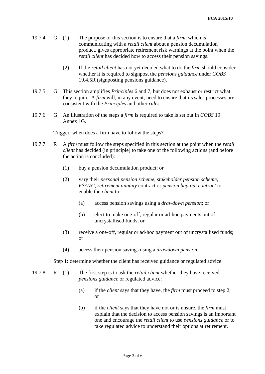- 19.7.4 G (1) The purpose of this section is to ensure that a *firm*, which is communicating with a *retail client* about a pension decumulation product, gives appropriate retirement risk warnings at the point when the *retail client* has decided how to access their pension savings.
	- (2) If the *retail client* has not yet decided what to do the *firm* should consider whether it is required to signpost the *pensions guidance* under *COBS* 19.4.5R (signposting pensions guidance).
- 19.7.5 G This section amplifies *Principles* 6 and 7, but does not exhaust or restrict what they require. A *firm* will, in any event, need to ensure that its sales processes are consistent with the *Principles* and other *rules*.
- 19.7.6 G An illustration of the steps a *firm* is required to take is set out in *COBS* 19 Annex 1G.

Trigger: when does a firm have to follow the steps?

- 19.7.7 R A *firm* must follow the steps specified in this section at the point when the *retail client* has decided (in principle) to take one of the following actions (and before the action is concluded):
	- (1) buy a pension decumulation product; or
	- (2) vary their *personal pension scheme*, *stakeholder pension scheme*, *FSAVC*, *retirement annuity* contract or *pension buy-out contract* to enable the *client* to:
		- (a) access pension savings using a *drawdown pension*; or
		- (b) elect to make one-off, regular or ad-hoc payments out of uncrystallised funds; or
	- (3) receive a one-off, regular or ad-hoc payment out of uncrystallised funds; or
	- (4) access their pension savings using a *drawdown pension*.

Step 1: determine whether the client has received guidance or regulated advice

- 19.7.8 R (1) The first step is to ask the *retail client* whether they have received *pensions guidance* or regulated advice:
	- (a) if the *client* says that they have, the *firm* must proceed to step 2; or
	- (b) if the *client* says that they have not or is unsure, the *firm* must explain that the decision to access pension savings is an important one and encourage the *retail client* to use *pensions guidance* or to take regulated advice to understand their options at retirement.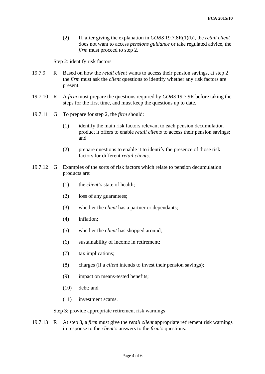(2) If, after giving the explanation in *COBS* 19.7.8R(1)(b), the *retail client* does not want to access *pensions guidance* or take regulated advice, the *firm* must proceed to step 2.

Step 2: identify risk factors

- 19.7.9 R Based on how the *retail client* wants to access their pension savings, at step 2 the *firm* must ask the *client* questions to identify whether any risk factors are present.
- 19.7.10 R A *firm* must prepare the questions required by *COBS* 19.7.9R before taking the steps for the first time, and must keep the questions up to date.
- 19.7.11 G To prepare for step 2, the *firm* should:
	- (1) identify the main risk factors relevant to each pension decumulation product it offers to enable *retail clients* to access their pension savings; and
	- (2) prepare questions to enable it to identify the presence of those risk factors for different *retail clients*.
- 19.7.12 G Examples of the sorts of risk factors which relate to pension decumulation products are:
	- (1) the *client's* state of health;
	- (2) loss of any guarantees;
	- (3) whether the *client* has a partner or dependants;
	- (4) inflation;
	- (5) whether the *client* has shopped around;
	- (6) sustainability of income in retirement;
	- (7) tax implications;
	- (8) charges (if a *client* intends to invest their pension savings);
	- (9) impact on means-tested benefits;
	- (10) debt; and
	- (11) investment scams.

Step 3: provide appropriate retirement risk warnings

19.7.13 R At step 3, a *firm* must give the *retail client* appropriate retirement risk warnings in response to the *client's* answers to the *firm's* questions.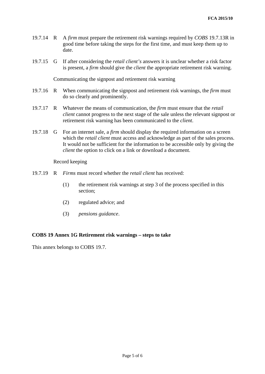- 19.7.14 R A *firm* must prepare the retirement risk warnings required by *COBS* 19.7.13R in good time before taking the steps for the first time, and must keep them up to date.
- 19.7.15 G If after considering the *retail client's* answers it is unclear whether a risk factor is present, a *firm* should give the *client* the appropriate retirement risk warning.

Communicating the signpost and retirement risk warning

- 19.7.16 R When communicating the signpost and retirement risk warnings, the *firm* must do so clearly and prominently.
- 19.7.17 R Whatever the means of communication, the *firm* must ensure that the *retail client* cannot progress to the next stage of the sale unless the relevant signpost or retirement risk warning has been communicated to the *client*.
- 19.7.18 G For an internet sale, a *firm* should display the required information on a screen which the *retail client* must access and acknowledge as part of the sales process. It would not be sufficient for the information to be accessible only by giving the *client* the option to click on a link or download a document.

Record keeping

- 19.7.19 R *Firms* must record whether the *retail client* has received:
	- (1) the retirement risk warnings at step 3 of the process specified in this section;
	- (2) regulated advice; and
	- (3) *pensions guidance*.

### **COBS 19 Annex 1G Retirement risk warnings – steps to take**

This annex belongs to COBS 19.7.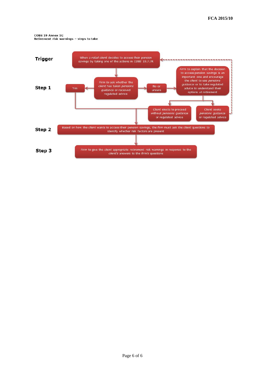**COBS 19 Annex 1G** Retirement risk warnings - steps to take